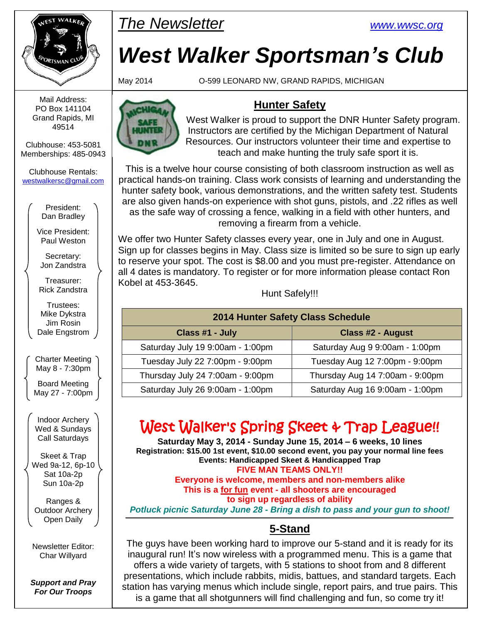

Mail Address: PO Box 141104 Grand Rapids, MI 49514

Clubhouse: 453-5081 Memberships: 485-0943

Clubhouse Rentals: [westwalkersc@gmail.com](mailto:westwalkersc@gmail.com)

> President: Dan Bradley

Vice President: Paul Weston

Secretary: Jon Zandstra

Treasurer: Rick Zandstra

Trustees: Mike Dykstra Jim Rosin Dale Engstrom

Charter Meeting May 8 - 7:30pm

Board Meeting May 27 - 7:00pm

Indoor Archery Wed & Sundays Call Saturdays

Skeet & Trap Wed 9a-12, 6p-10 Sat 10a-2p Sun 10a-2p

Ranges & Outdoor Archery Open Daily

Newsletter Editor: Char Willyard

*Support and Pray For Our Troops*



# *West Walker Sportsman's Club*

May 2014 O-599 LEONARD NW, GRAND RAPIDS, MICHIGAN



# **Hunter Safety**

 West Walker is proud to support the DNR Hunter Safety program. Instructors are certified by the Michigan Department of Natural Resources. Our instructors volunteer their time and expertise to teach and make hunting the truly safe sport it is.

This is a twelve hour course consisting of both classroom instruction as well as practical hands-on training. Class work consists of learning and understanding the hunter safety book, various demonstrations, and the written safety test. Students are also given hands-on experience with shot guns, pistols, and .22 rifles as well as the safe way of crossing a fence, walking in a field with other hunters, and removing a firearm from a vehicle.

We offer two Hunter Safety classes every year, one in July and one in August. Sign up for classes begins in May. Class size is limited so be sure to sign up early to reserve your spot. The cost is \$8.00 and you must pre-register. Attendance on all 4 dates is mandatory. To register or for more information please contact Ron Kobel at 453-3645.

Hunt Safely!!!

| 2014 Hunter Safety Class Schedule |                                 |  |  |  |
|-----------------------------------|---------------------------------|--|--|--|
| Class #1 - July                   | <b>Class #2 - August</b>        |  |  |  |
| Saturday July 19 9:00am - 1:00pm  | Saturday Aug 9 9:00am - 1:00pm  |  |  |  |
| Tuesday July 22 7:00pm - 9:00pm   | Tuesday Aug 12 7:00pm - 9:00pm  |  |  |  |
| Thursday July 24 7:00am - 9:00pm  | Thursday Aug 14 7:00am - 9:00pm |  |  |  |
| Saturday July 26 9:00am - 1:00pm  | Saturday Aug 16 9:00am - 1:00pm |  |  |  |

# West Walker's Spring Skeet & Trap League!!

**Saturday May 3, 2014 - Sunday June 15, 2014 – 6 weeks, 10 lines Registration: \$15.00 1st event, \$10.00 second event, you pay your normal line fees Events: Handicapped Skeet & Handicapped Trap FIVE MAN TEAMS ONLY!!**

**Everyone is welcome, members and non-members alike This is a for fun event - all shooters are encouraged to sign up regardless of ability**

*Potluck picnic Saturday June 28 - Bring a dish to pass and your gun to shoot!*

# **5-Stand**

The guys have been working hard to improve our 5-stand and it is ready for its inaugural run! It's now wireless with a programmed menu. This is a game that offers a wide variety of targets, with 5 stations to shoot from and 8 different presentations, which include rabbits, midis, battues, and standard targets. Each station has varying menus which include single, report pairs, and true pairs. This is a game that all shotgunners will find challenging and fun, so come try it!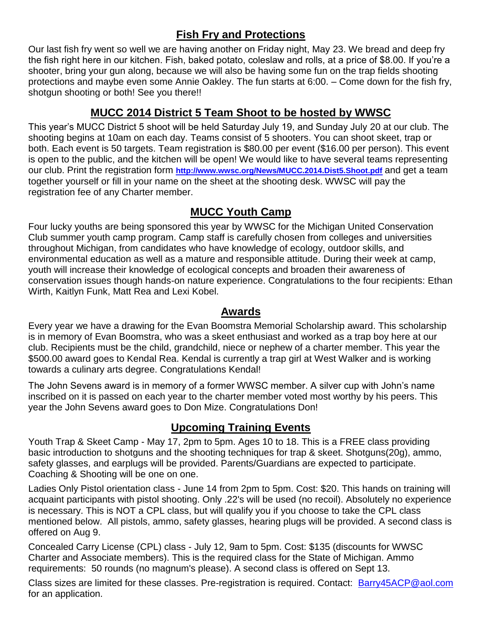# **Fish Fry and Protections**

Our last fish fry went so well we are having another on Friday night, May 23. We bread and deep fry the fish right here in our kitchen. Fish, baked potato, coleslaw and rolls, at a price of \$8.00. If you're a shooter, bring your gun along, because we will also be having some fun on the trap fields shooting protections and maybe even some Annie Oakley. The fun starts at 6:00. – Come down for the fish fry, shotgun shooting or both! See you there!!

### **MUCC 2014 District 5 Team Shoot to be hosted by WWSC**

This year's MUCC District 5 shoot will be held Saturday July 19, and Sunday July 20 at our club. The shooting begins at 10am on each day. Teams consist of 5 shooters. You can shoot skeet, trap or both. Each event is 50 targets. Team registration is \$80.00 per event (\$16.00 per person). This event is open to the public, and the kitchen will be open! We would like to have several teams representing our club. Print the registration form **<http://www.wwsc.org/News/MUCC.2014.Dist5.Shoot.pdf>** and get a team together yourself or fill in your name on the sheet at the shooting desk. WWSC will pay the registration fee of any Charter member.

# **MUCC Youth Camp**

Four lucky youths are being sponsored this year by WWSC for the Michigan United Conservation Club summer youth camp program. Camp staff is carefully chosen from colleges and universities throughout Michigan, from candidates who have knowledge of ecology, outdoor skills, and environmental education as well as a mature and responsible attitude. During their week at camp, youth will increase their knowledge of ecological concepts and broaden their awareness of conservation issues though hands-on nature experience. Congratulations to the four recipients: Ethan Wirth, Kaitlyn Funk, Matt Rea and Lexi Kobel.

#### **Awards**

Every year we have a drawing for the Evan Boomstra Memorial Scholarship award. This scholarship is in memory of Evan Boomstra, who was a skeet enthusiast and worked as a trap boy here at our club. Recipients must be the child, grandchild, niece or nephew of a charter member. This year the \$500.00 award goes to Kendal Rea. Kendal is currently a trap girl at West Walker and is working towards a culinary arts degree. Congratulations Kendal!

The John Sevens award is in memory of a former WWSC member. A silver cup with John's name inscribed on it is passed on each year to the charter member voted most worthy by his peers. This year the John Sevens award goes to Don Mize. Congratulations Don!

# **Upcoming Training Events**

Youth Trap & Skeet Camp - May 17, 2pm to 5pm. Ages 10 to 18. This is a FREE class providing basic introduction to shotguns and the shooting techniques for trap & skeet. Shotguns(20g), ammo, safety glasses, and earplugs will be provided. Parents/Guardians are expected to participate. Coaching & Shooting will be one on one.

Ladies Only Pistol orientation class - June 14 from 2pm to 5pm. Cost: \$20. This hands on training will acquaint participants with pistol shooting. Only .22's will be used (no recoil). Absolutely no experience is necessary. This is NOT a CPL class, but will qualify you if you choose to take the CPL class mentioned below. All pistols, ammo, safety glasses, hearing plugs will be provided. A second class is offered on Aug 9.

Concealed Carry License (CPL) class - July 12, 9am to 5pm. Cost: \$135 (discounts for WWSC Charter and Associate members). This is the required class for the State of Michigan. Ammo requirements: 50 rounds (no magnum's please). A second class is offered on Sept 13.

Class sizes are limited for these classes. Pre-registration is required. Contact: [Barry45ACP@aol.com](mailto:Barry45ACP@aol.com) for an application.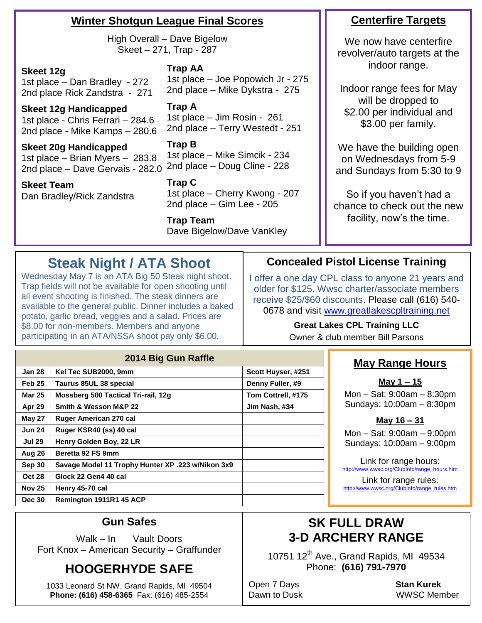#### **Winter Shotgun League Final Scores**

High Overall – Dave Bigelow Skeet – 271, Trap - 287

#### **Skeet 12g**

1st place – Dan Bradley - 272 2nd place Rick Zandstra - 271

**Skeet 12g Handicapped** 1st place - Chris Ferrari – 284.6 2nd place - Mike Kamps – 280.6

**Skeet 20g Handicapped** 1st place – Brian Myers – 283.8 2nd place – Dave Gervais - 282.0

**Skeet Team**  Dan Bradley/Rick Zandstra

**May 27 Ruger American 270 cal Jun 24 Ruger KSR40 (ss) 40 cal Jul 29 Henry Golden Boy, 22 LR**

**Aug 26 Beretta 92 FS 9mm**

**Oct 28 Glock 22 Gen4 40 cal Nov 25 Henry 45-70 cal**

**Dec 30 Remington 1911R1 45 ACP**

**Trap AA** 1st place – Joe Popowich Jr - 275 2nd place – Mike Dykstra - 275

#### **Trap A**

1st place – Jim Rosin - 261 2nd place – Terry Westedt - 251

**Trap B**

1st place – Mike Simcik - 234 2nd place – Doug Cline - 228

**Trap C** 1st place – Cherry Kwong - 207 2nd place – Gim Lee - 205

**Trap Team** Dave Bigelow/Dave VanKley

#### **Centerfire Targets**

We now have centerfire revolver/auto targets at the indoor range.

Indoor range fees for May will be dropped to \$2.00 per individual and \$3.00 per family.

We have the building open on Wednesdays from 5-9 and Sundays from 5:30 to 9

So if you haven't had a chance to check out the new facility, now's the time.

# **Steak Night / ATA Shoot**

Wednesday May 7 is an ATA Big 50 Steak night shoot. Trap fields will not be available for open shooting until all event shooting is finished. The steak dinners are available to the general public. Dinner includes a baked potato, garlic bread, veggies and a salad. Prices are \$8.00 for non-members. Members and anyone participating in an ATA/NSSA shoot pay only \$6.00.

**2014 Big Gun Raffle Jan 28** | Kel Tec SUB2000, 9mm **Feb 25 Taurus 85UL 38 special Denny Fuller, #9 Mar 25 Mossberg 500 Tactical Tri-rail, 12g Tom Cottrell, #175 Apr 29 Smith & Wesson M&P 22 Jim Nash, #34**

# **Concealed Pistol License Training**

I offer a one day CPL class to anyone 21 years and older for \$125. Wwsc charter/associate members receive \$25/\$60 discounts. Please call (616) 540 0678 and visit [www.greatlakescpltraining.net](http://www.greatlakescpltraining.net/)

> **Great Lakes CPL Training LLC** Owner & club member Bill Parsons

# **May Range Hours**

**May 1 – 15**

Mon – Sat: 9:00am – 8:30pm Sundays: 10:00am – 8:30pm

#### **May 16 – 31**

Mon – Sat: 9:00am – 9:00pm Sundays: 10:00am – 9:00pm

Link for range hours: [http://www.wwsc.org/ClubInfo/range\\_hours.htm](http://www.wwsc.org/ClubInfo/range_hours.htm)

Link for range rules: [http://www.wwsc.org/ClubInfo/range\\_rules.htm](http://www.wwsc.org/ClubInfo/range_rules.htm)

#### **Gun Safes**

**Sep 30 Savage Model 11 Trophy Hunter XP .223 w/Nikon 3x9**

Walk – In Vault Doors Fort Knox – American Security – Graffunder

# **HOOGERHYDE SAFE**

1033 Leonard St NW, Grand Rapids, MI 49504 **Phone: (616) 458-6365** Fax: (616) 485-2554

# **SK FULL DRAW 3-D ARCHERY RANGE**

10751 12<sup>th</sup> Ave., Grand Rapids, MI 49534 Phone: **(616) 791-7970**

Open 7 Days **Stan Kurek**

Dawn to Dusk WWSC Member